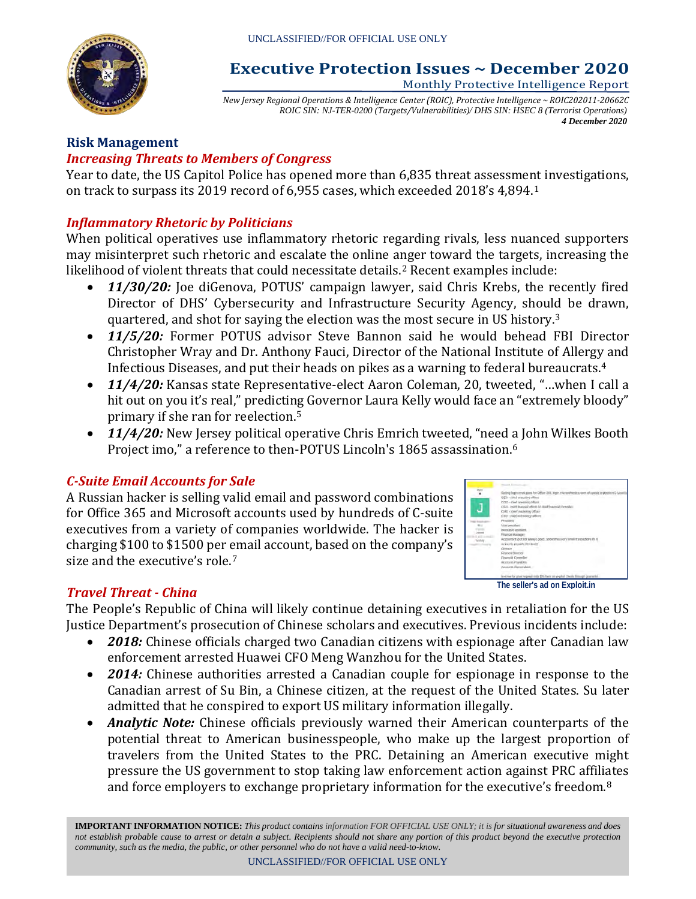

#### **Executive Protection Issues ~ December 2020** Monthly Protective Intelligence Report

*New Jersey Regional Operations & Intelligence Center (ROIC), Protective Intelligence ~ ROIC202011-20662C ROIC SIN: NJ-TER-0200 (Targets/Vulnerabilities)/ DHS SIN: HSEC 8 (Terrorist Operations) 4 December 2020*

# **Risk Management**

#### *Increasing Threats to Members of Congress*

Year to date, the US Capitol Police has opened more than 6,835 threat assessment investigations, on track to surpass its 2019 record of 6,955 cases, which exceeded 2018's 4,894.[1](#page-8-0)

#### *Inflammatory Rhetoric by Politicians*

When political operatives use inflammatory rhetoric regarding rivals, less nuanced supporters may misinterpret such rhetoric and escalate the online anger toward the targets, increasing the likelihood of violent threats that could necessitate details.[2](#page-8-1) Recent examples include:

- *11/30/20:* Joe diGenova, POTUS' campaign lawyer, said Chris Krebs, the recently fired Director of DHS' Cybersecurity and Infrastructure Security Agency, should be drawn, quartered, and shot for saying the election was the most secure in US history.[3](#page-8-2)
- *11/5/20:* Former POTUS advisor Steve Bannon said he would behead FBI Director Christopher Wray and Dr. Anthony Fauci, Director of the National Institute of Allergy and Infectious Diseases, and put their heads on pikes as a warning to federal bureaucrats.[4](#page-8-3)
- *11/4/20:* Kansas state Representative-elect Aaron Coleman, 20, tweeted, "…when I call a hit out on you it's real," predicting Governor Laura Kelly would face an "extremely bloody" primary if she ran for reelection.[5](#page-8-4)
- **11/4/20:** New Jersey political operative Chris Emrich tweeted, "need a John Wilkes Booth Project imo," a reference to then-POTUS Lincoln's 18[6](#page-8-5)5 assassination.<sup>6</sup>

#### *C-Suite Email Accounts for Sale*

A Russian hacker is selling valid email and password combinations for Office 365 and Microsoft accounts used by hundreds of C-suite executives from a variety of companies worldwide. The hacker is charging \$100 to \$1500 per email account, based on the company's size and the executive's role.<sup>[7](#page-8-6)</sup>

| ling login email.gent for Office 365, login microsofter                    |
|----------------------------------------------------------------------------|
| CEO - clied executive officer                                              |
| CIDD - ITHAT GOVERNAL OBIAR?                                               |
| CFG - Isset Maddall officer or closel financial Economic                   |
| CMO cehief marketing officer-                                              |
| CTD - plant end a stage officer                                            |
| President                                                                  |
| Vocamation:                                                                |
| Internation and Alexander                                                  |
| <b>Riggings Madager</b>                                                    |
| Accounted Dot not always good. So permen very timell transactions in it!   |
| accessio passable (line beld)                                              |
| <b>Course</b>                                                              |
| Finance Director                                                           |
| <b>Financial Corentier</b>                                                 |
| Atzizeiti Pondërs                                                          |
| <b>FAILURE PROFINANCE</b>                                                  |
| level that his price to guaranteed DM here are evalual. The<br>Lidways Ap. |

#### **The seller's ad on Exploit.in**

## *Travel Threat - China*

The People's Republic of China will likely continue detaining executives in retaliation for the US Justice Department's prosecution of Chinese scholars and executives. Previous incidents include:

- *2018:* Chinese officials charged two Canadian citizens with espionage after Canadian law enforcement arrested Huawei CFO Meng Wanzhou for the United States.
- *2014:* Chinese authorities arrested a Canadian couple for espionage in response to the Canadian arrest of Su Bin, a Chinese citizen, at the request of the United States. Su later admitted that he conspired to export US military information illegally.
- *Analytic Note:* Chinese officials previously warned their American counterparts of the potential threat to American businesspeople, who make up the largest proportion of travelers from the United States to the PRC. Detaining an American executive might pressure the US government to stop taking law enforcement action against PRC affiliates and force employers to exchange proprietary information for the executive's freedom.[8](#page-8-7)

**IMPORTANT INFORMATION NOTICE:** *This product contains information FOR OFFICIAL USE ONLY; it is for situational awareness and does not establish probable cause to arrest or detain a subject. Recipients should not share any portion of this product beyond the executive protection community, such as the media, the public, or other personnel who do not have a valid need-to-know.*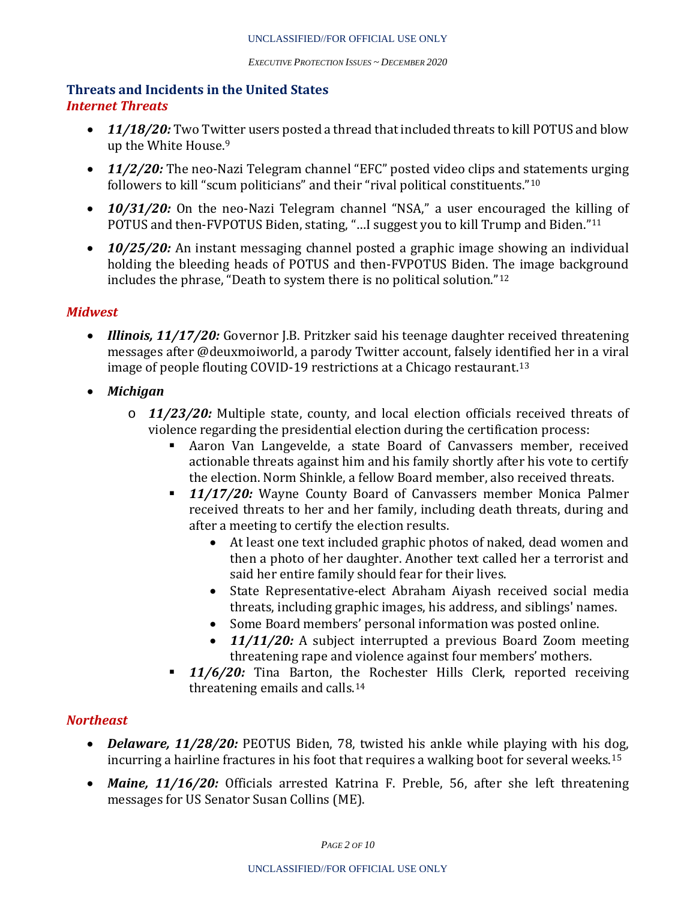#### **Threats and Incidents in the United States** *Internet Threats*

- **11/18/20:** Two Twi[tt](#page-8-8)er users posted a thread that included threats to kill POTUS and blow up the White House. 9
- **11/2/20:** The neo-Nazi Telegram channel "EFC" posted video clips and statements urging followers to kill "scum politicians" and their "rival political constituents."[10](#page-8-9)
- *10/31/20:* On the neo-Nazi Telegram channel "NSA," a user encouraged the killing of POTUS and then-FVPOTUS Biden, stating, "…I suggest you to kill Trump and Biden."[11](#page-8-10)
- **10/25/20:** An instant messaging channel posted a graphic image showing an individual holding the bleeding heads of POTUS and then-FVPOTUS Biden. The image background includes the phrase, "Death to system there is no political solution."[12](#page-8-11)

#### *Midwest*

- *Illinois, 11/17/20:* Governor J.B. Pritzker said his teenage daughter received threatening messages after @deuxmoiworld, a parody Twitter account, falsely identified her in a viral image of people flouting COVID-19 restrictions at a Chicago restaurant.[13](#page-8-12)
- *Michigan*
	- o *11/23/20:* Multiple state, county, and local election officials received threats of violence regarding the presidential election during the certification process:<br>Aaron Van Langevelde, a state Board of Canvassers member, re
		- Aaron Van Langevelde, a state Board of Canvassers member, received actionable threats against him and his family shortly after his vote to certify the election. Norm Shinkle, a fellow Board member, also received threats.
		- *11/17/20:* Wayne County Board of Canvassers member Monica Palmer received threats to her and her family, including death threats, during and after a meeting to certify the election results.
			- At least one text included graphic photos of naked, dead women and then a photo of her daughter. Another text called her a terrorist and said her entire family should fear for their lives.
			- State Representative-elect Abraham Aiyash received social media threats, including graphic images, his address, and siblings' names.
			- Some Board members' personal information was posted online.
			- **11/11/20:** A subject interrupted a previous Board Zoom meeting threatening rape and violence against four members' mothers.
		- **11/6/20:** Tina Barton, the Rochester Hills Clerk, reported receiving threatening emails and calls.[14](#page-8-13)

## *Northeast*

- *Delaware, 11/28/20:* PEOTUS Biden, 78, twisted his ankle while playing with his dog, incurring a hairline fractures in his foot that requires a walking boot for several weeks.[15](#page-8-14)
- *Maine, 11/16/20:* Officials arrested Katrina F. Preble, 56, after she left threatening messages for US Senator Susan Collins (ME).

*PAGE 2 OF 10*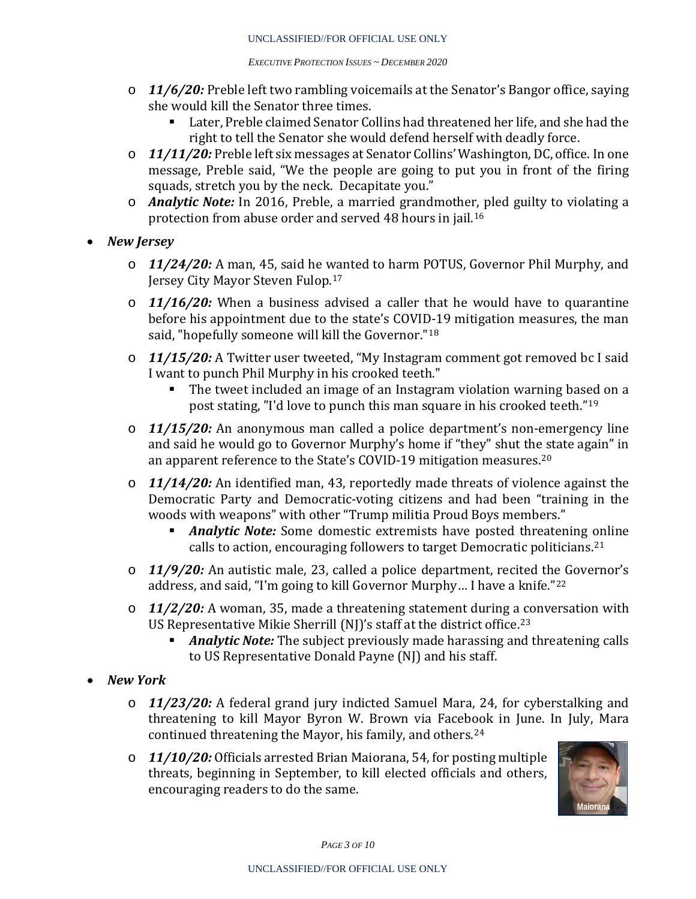- o *11/6/20:* Preble left two rambling voicemails at the Senator's Bangor office, saying she would kill the Senator three times.
	- Later, Preble claimed Senator Collins had threatened her life, and she had the right to tell the Senator she would defend herself with deadly force.
- o *11/11/20:* Preble left six messages at Senator Collins' Washington, DC, office. In one message, Preble said, "We the people are going to put you in front of the firing squads, stretch you by the neck. Decapitate you."
- o *Analytic Note:* In 2016, Preble, a married grandmother, pled guilty to violating a protection from abuse order and served 48 hours in jail.[16](#page-8-15)
- *New Jersey*
	- o *11/24/20:* A man, 45, said he wanted to harm POTUS, Governor Phil Murphy, and Jersey City Mayor Steven Fulop.[17](#page-8-16)
	- o *11/16/20:* When a business advised a caller that he would have to quarantine before his appointment due to the state's COVID-19 mitigation measures, the man said, "hopefully someone will kill the Governor."<sup>[18](#page-8-17)</sup>
	- o *11/15/20:* A Twitter user tweeted, "My Instagram comment got removed bc I said I want to punch Phil Murphy in his crooked teeth."
		- The tweet included an image of an Instagram violation warning based on a post stating, "I'd love to punch this man square in his crooked teeth."[19](#page-8-18)
	- o *11/15/20:* An anonymous man called a police department's non-emergency line and said he would go to Governor Murphy's home if "they" shut the state again" in an apparent reference to the State's COVID-19 mitigation measures.<sup>[20](#page-8-19)</sup>
	- o *11/14/20:* An identified man, 43, reportedly made threats of violence against the Democratic Party and Democratic-voting citizens and had been "training in the woods with weapons" with other "Trump militia Proud Boys members."
		- *Analytic Note:* Some domestic extremists have posted threatening [on](#page-8-20)line calls to action, encouraging followers to target Democratic politicians. 21
	- o *11/9/20:* An autistic male, 23, called a police department, recited the Governor's address, and said, "I'm going to kill Governor Murphy… I have a knife."[22](#page-8-21)
	- o *11/2/20:* A woman, 35, made a threatening statement during a conversation with US Representative Mikie Sherrill (NJ)'s staff at the district office.[23](#page-8-22)
		- *Analytic Note:* The subject previously made harassing and threatening calls to US Representative Donald Payne (NJ) and his staff.
- *New York*
	- o *11/23/20:* A federal grand jury indicted Samuel Mara, 24, for cyberstalking and threatening to kill Mayor Byron W. Brown via Facebook in June. In July, Mara continued threatening the Mayor, his family, and others.[24](#page-8-23)
	- o *11/10/20:* Officials arrested Brian Maiorana, 54, for posting multiple threats, beginning in September, to kill elected officials and others, encouraging readers to do the same.



*PAGE 3 OF 10*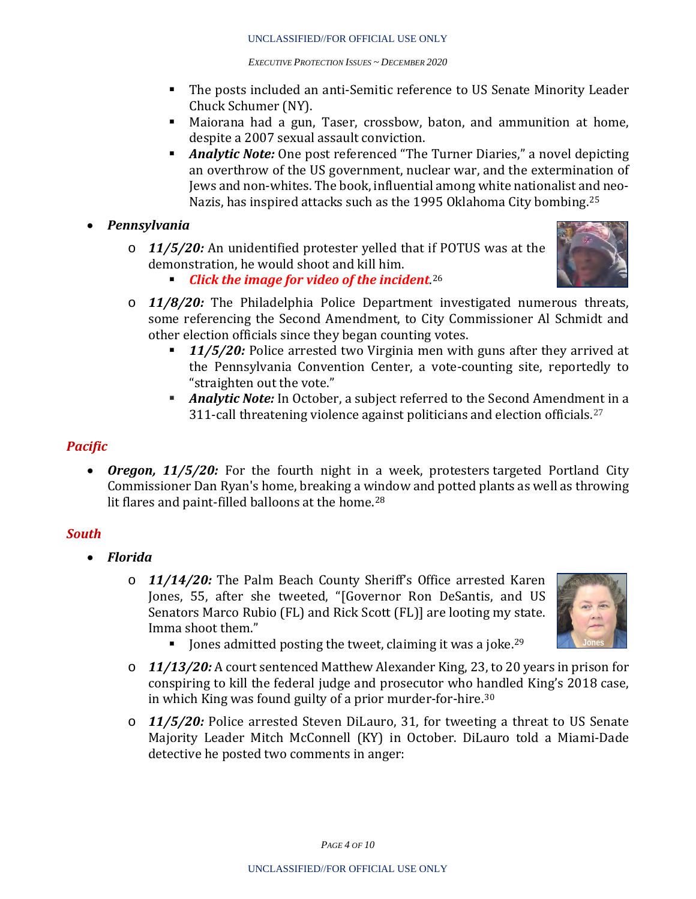- The posts included an anti-Semitic reference to US Senate Minority Leader Chuck Schumer (NY).
- Maiorana had a gun, Taser, crossbow, baton, and ammunition at home, despite a 2007 sexual assault conviction.
- **Analytic Note:** One post referenced "The Turner Diaries," a novel depicting an overthrow of the US government, nuclear war, and the extermination of Jews and non-whites. The book, influential among white nationalist and neo-Nazis, has inspired attacks such as the 1995 Oklahoma City bombing.[25](#page-8-24)
- *Pennsylvania*
	- o *11/5/20:* An unidentified protester yelled that if POTUS was at the demonstration, he would shoot and kill him.



- *Click the image for video of the incident*. [26](#page-8-25)
- o *11/8/20:* The Philadelphia Police Department investigated numerous threats, some referencing the Second Amendment, to City Commissioner Al Schmidt and other election officials since they began counting votes.<br>11/5/20: Police arrested two Virginia men with
	- *11/5/20:* Police arrested two Virginia men with guns after they arrived at the Pennsylvania Convention Center, a vote-counting site, reportedly to "straighten out the vote."
	- *Analytic Note:* In October, a subject referred to the Second Amendment in a 311-call threatening violence against politicians and election officials.<sup>[27](#page-8-26)</sup>

#### *Pacific*

• *Oregon, 11/5/20:* For the fourth night in a week, protesters targeted Portland City Commissioner Dan Ryan's home, breaking a w[in](#page-8-27)dow and potted plants as well as throwing lit flares and paint-filled balloons at the home.<sup>28</sup>

## *South*

- *Florida*
	- o *11/14/20:* The Palm Beach County Sheriff's Office arrested Karen Jones, 55, after she tweeted, "[Governor Ron DeSantis, and US Senators Marco Rubio (FL) and Rick Scott (FL)] are looting my state. Imma shoot them."



- Iones admitted posting the tweet, claiming it was a joke.<sup>[29](#page-8-28)</sup>
- o *11/13/20:* A court sentenced Matthew Alexander King, 23, to 20 years in prison for conspiring to kill the federal judge and prosecutor who handled King's 2018 case, in which King was found guilty of a prior murder-for-hire.[30](#page-8-29)
- o *11/5/20:* Police arrested Steven DiLauro, 31, for tweeting a threat to US Senate Majority Leader Mitch McConnell (KY) in October. DiLauro told a Miami-Dade detective he posted two comments in anger:

*PAGE 4 OF 10*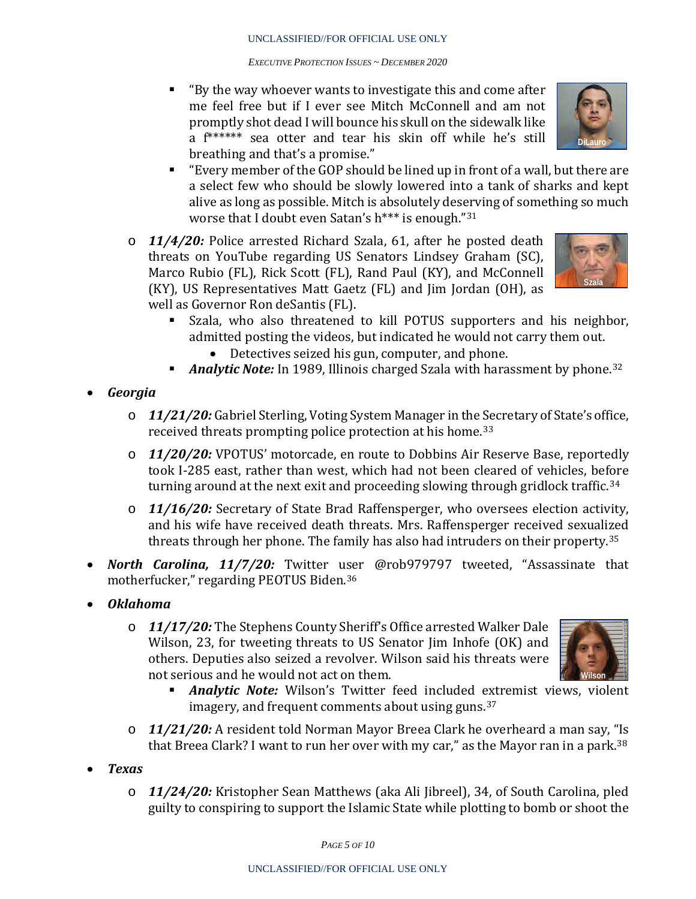"By the way whoever wants to investigate this and come after me feel free but if I ever see Mitch McConnell and am not promptly shot dead I will bounce his skull on the sidewalk like a f\*\*\*\*\*\* sea otter and tear his skin off while he's still breathing and that's a promise."



- "Every member of the GOP should be lined up in front of a wall, but there are a select few who should be slowly lowered into a tank of sharks and kept alive as long as possible. Mitch is absolutely deserving of something so much worse that I doubt even Satan's h\*\*\* is enough."[31](#page-8-30)
- o *11/4/20:* Police arrested Richard Szala, 61, after he posted death threats on YouTube regarding US Senators Lindsey Graham (SC), Marco Rubio (FL), Rick Scott (FL), Rand Paul (KY), and McConnell (KY), US Representatives Matt Gaetz (FL) and Jim Jordan (OH), as well as Governor Ron deSantis (FL).<br>Szala, who also threatened



- Szala, who also threatened to kill POTUS supporters and his neighbor, admitted posting the videos, but indicated he would not carry them out.
	- Detectives seized his gun, computer, and phone.
- **Analytic Note:** In 1989, Illinois charged Szala with harassment by phone.<sup>[32](#page-8-31)</sup>
- *Georgia*
	- o *11/21/20:* Gabriel Sterling, Voting System Manager in the Secretary of State's office, received threats prompting police protection at his home.[33](#page-8-32)
	- o *11/20/20:* VPOTUS' motorcade, en route to Dobbins Air Reserve Base, reportedly took I-285 east, rather than west, which had not been cleared of vehicles, before turning around at the next exit and proceeding slowing through gridlock traffic.[34](#page-8-33)
	- o *11/16/20:* Secretary of State Brad Raffensperger, who oversees election activity, and his wife have received death threats. Mrs. Raffensperger received sexualized threats through her phone. The family has also had intruders on their property.[35](#page-8-34)
- *North Carolina, 11/7/20:* Twitter user @rob979797 tweeted, "Assassinate that motherfucker," regarding PEOTUS Biden.[36](#page-8-35)
- *Oklahoma*
	- o *11/17/20:* The Stephens County Sheriff's Office arrested Walker Dale Wilson, 23, for tweeting threats to US Senator Jim Inhofe (OK) and others. Deputies also seized a revolver. Wilson said his threats were not serious and he would not act on them.<br> **Analytic Note:** Wilson's Twitter f



- *Analytic Note:* Wilson's Twitter feed included extremist views, violent imagery, and frequent comments about using guns.[37](#page-8-36)
- o *11/21/20:* A resident told Norman Mayor Breea Clark he overheard a man say, "Is that Breea Clark? I want to run her over with my car," as the Mayor ran in a park.<sup>[38](#page-8-37)</sup>
- *Texas*
	- o *11/24/20:* Kristopher Sean Matthews (aka Ali Jibreel), 34, of South Carolina, pled guilty to conspiring to support the Islamic State while plotting to bomb or shoot the

*PAGE 5 OF 10*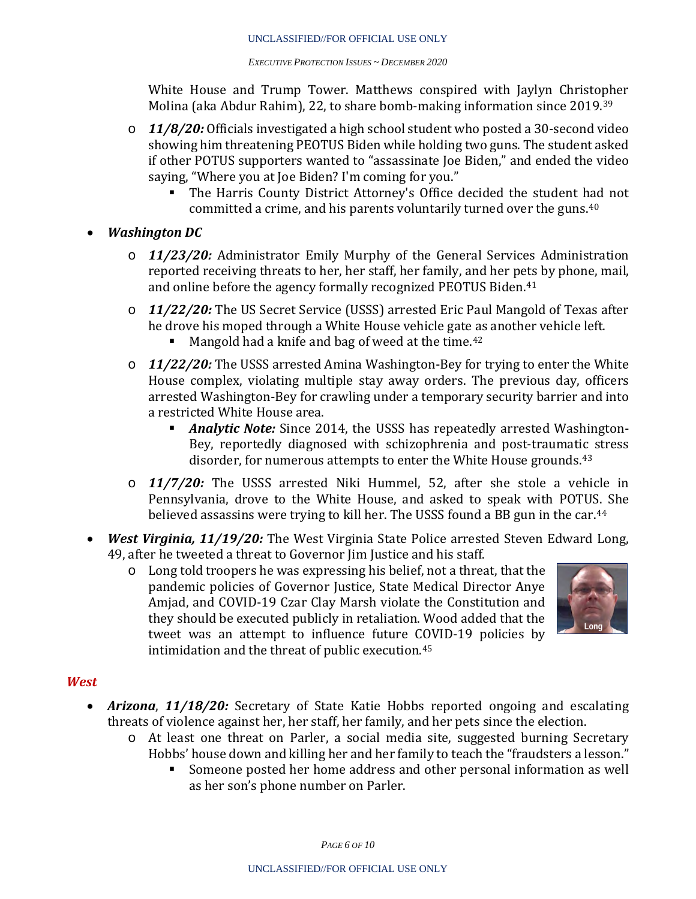White House and Trump Tower. Matthews conspired with Jaylyn Christopher Molina (aka Abdur Rahim), 22, to share bomb-making information since 2019.[39](#page-8-38)

- o *11/8/20:* Officials investigated a high school student who posted a 30-second video showing him threatening PEOTUS Biden while holding two guns. The student asked if other POTUS supporters wanted to "assassinate Joe Biden," and ended the video saying, "Where you at Joe Biden? I'm coming for you."
	- The Harris County District Attorney's Office decided the student [had](#page-8-39) not committed a crime, and his parents voluntarily turned over the guns.40
- *Washington DC* 
	- o *11/23/20:* Administrator Emily Murphy of the General Services Administration reported receiving threats to her, her staff, her family, and her pets by phone, mail, and online before the agency formally recognized PEOTUS Biden.<sup>[41](#page-8-40)</sup>
	- o *11/22/20:* The US Secret Service (USSS) arrested Eric Paul Mangold of Texas after he drove his moped through a White House vehicle gate as another vehicle left.<br>Mangold had a knife and bag of weed at the time.<sup>42</sup>
		- Mangold had a knife and bag of weed at the time.<sup>[42](#page-9-0)</sup>
	- o *11/22/20:* The USSS arrested Amina Washington-Bey for trying to enter the White House complex, violating multiple stay away orders. The previous day, officers arrested Washington-Bey for crawling under a temporary security barrier and into a restricted White House area.
		- *Analytic Note:* Since 2014, the USSS has repeatedly arrested Washington-Bey, reportedly diagnosed with schizophrenia and post-traumatic stress disorder, for numerous attempts to enter the White House grounds.<sup>[43](#page-9-1)</sup>
	- o *11/7/20:* The USSS arrested Niki Hummel, 52, after she stole a vehicle in Pennsylvania, drove to the White House, and asked to speak with POTU[S.](#page-9-2) She believed assassins were trying to kill her. The USSS found a BB gun in the car.<sup>44</sup>
- *West Virginia, 11/19/20:* The West Virginia State Police arrested Steven Edward Long, 49, after he tweeted a threat to Governor Jim Justice and his staff.<br>  $\circ$  Long told troopers he was expressing his belief, not a threa
	- Long told troopers he was expressing his belief, not a threat, that the pandemic policies of Governor Justice, State Medical Director Anye Amjad, and COVID-19 Czar Clay Marsh violate the Constitution and they should be executed publicly in retaliation. Wood added that the tweet was an attempt to influence future COVID-19 policies by intimidation and the threat of public execution.[45](#page-9-3)



## *West*

- *Arizona*, *11/18/20:* Secretary of State Katie Hobbs reported ongoing and escalating threats of violence against her, her staff, her family, and her pets since the election.
	- o At least one threat on Parler, a social media site, suggested burning Secretary Hobbs' house down and killing her and her family to teach the "fraudsters a lesson."
		- Someone posted her home address and other personal information as well as her son's phone number on Parler.

*PAGE 6 OF 10*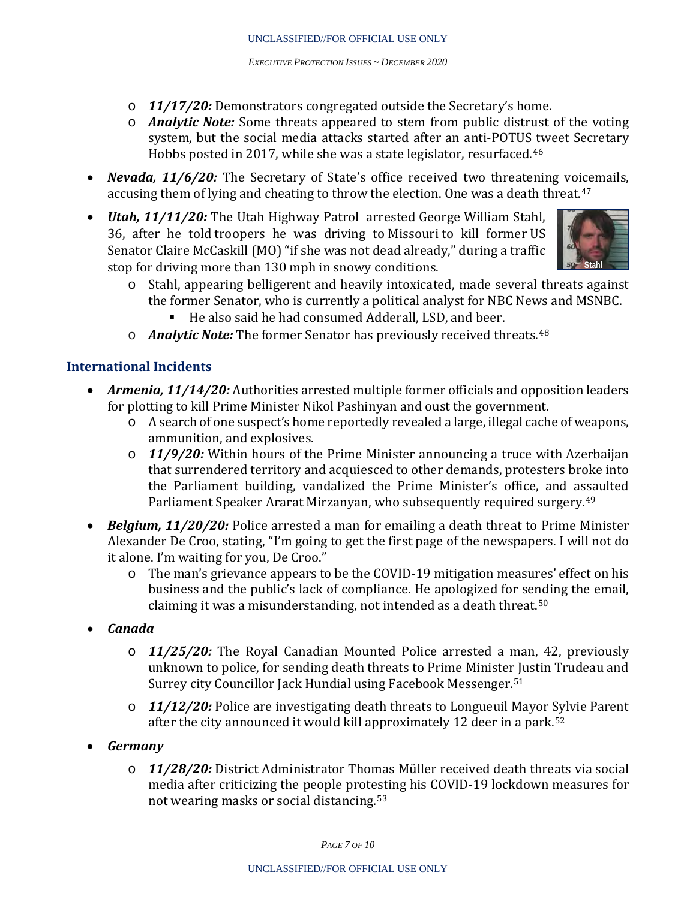- o *11/17/20:* Demonstrators congregated outside the Secretary's home.
- o *Analytic Note:* Some threats appeared to stem from public distrust of the voting system, but the social media attacks started after an anti-POTUS tweet Secretary Hobbs posted in 2017, while she was a state legislator, resurfaced.[46](#page-9-4)
- *Nevada, 11/6/20:* The Secretary of State's office received two threatening vo[ice](#page-9-5)mails, accusing them of lying and cheating to throw the election. One was a death threat. $47\,$
- *Utah, 11/11/20:* The Utah Highway Patrol arrested George William Stahl, 36, after he told troopers he was driving to Missouri to kill former US Senator Claire McCaskill (MO) "if she was not dead already," during a traffic stop for driving more than 130 mph in snowy conditions.



- o Stahl, appearing belligerent and heavily intoxicated, made several threats against the former Senator, who is currently a political analyst for NBC News and MSNBC.<br>• He also said he had consumed Adderall, LSD, and beer.
	- He also said he had consumed Adderall, LSD, and beer.
- o *Analytic Note:* The former Senator has previously received threats.[48](#page-9-6)

#### **International Incidents**

- *Armenia, 11/14/20:* Authorities arrested multiple former officials and opposition leaders for plotting to kill Prime Minister Nikol Pashinyan and oust the government.
	- o A search of one suspect's home reportedly revealed a large, illegal cache of weapons, ammunition, and explosives.
	- o *11/9/20:* Within hours of the Prime Minister announcing a truce with Azerbaijan that surrendered territory and acquiesced to other demands, protesters broke into the Parliament building, vandalized the Prime Minister's office, and assaulted Parliament Speaker Ararat Mirzanyan, who subsequently required surgery.[49](#page-9-7)
- *Belgium, 11/20/20:* Police arrested a man for emailing a death threat to Prime Minister Alexander De Croo, stating, "I'm going to get the first page of the newspapers. I will not do it alone. I'm waiting for you, De Croo."
	- o The man's grievance appears to be the COVID-19 mitigation measures' effect on his business and the public's lack of compliance. He apologized for sending the email, claiming it was a misunderstanding, not intended as a death threat.[50](#page-9-8)
- *Canada*
	- o *11/25/20:* The Royal Canadian Mounted Police arrested a man, 42, previously unknown to police, for sending death threats to Prime Minister Justin Trudeau and Surrey city Councillor Jack Hundial using Facebook Messenger.[51](#page-9-9)
	- o *11/12/20:* Police are investigating death threats to Longueuil Mayor Sylvie Parent after the city announced it would kill approximately 12 deer in a park.<sup>[52](#page-9-10)</sup>
- *Germany*
	- o *11/28/20:* District Administrator Thomas Müller received death threats via social media after criticizing the people protesting his COVID-19 lockdown measures for not wearing masks or social distancing.[53](#page-9-11)

*PAGE 7 OF 10*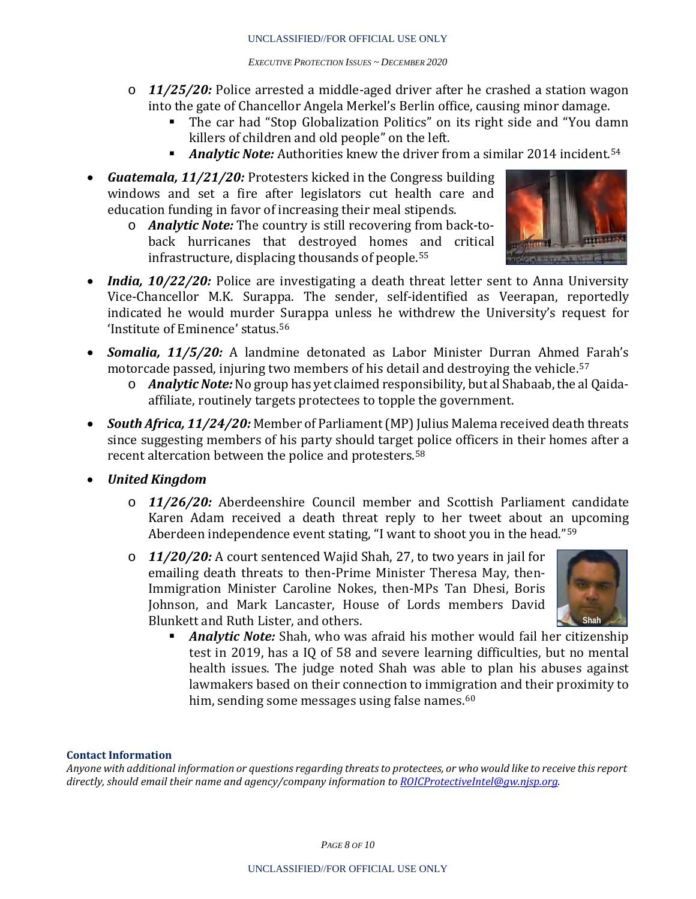- o *11/25/20:* Police arrested a middle-aged driver after he crashed a station wagon into the gate of Chancellor Angela Merkel's Berlin office, causing minor damage.
	- The car had "Stop Globalization Politics" on its right side and "You damn killers of children and old people" on the left.
	- **Analytic Note:** Authorities knew the driver from a similar 2014 incident.<sup>[54](#page-9-12)</sup>
- *Guatemala, 11/21/20:* Protesters kicked in the Congress building windows and set a fire after legislators cut health care and education funding in favor of increasing their meal stipends.
	- o *Analytic Note:* The country is still recovering from back-toback hurricanes that destroyed homes and critical infrastructure, displacing thousands of people.[55](#page-9-13)



- *India, 10/22/20:* Police are investigating a death threat letter sent to Anna University Vice-Chancellor M.K. Surappa. The sender, self-identified as Veerapan, reportedly indicated he would murder Surappa unless he withdrew the University's request for 'Institute of Eminence' status.[56](#page-9-14)
- *Somalia, 11/5/20:* A landmine detonated as Labor Minister Durran Ahme[d F](#page-9-15)arah's motorcade passed, injuring two members of his detail and destroying the vehicle. 57
	- o *Analytic Note:*No group has yet claimed responsibility, but al Shabaab, the al Qaidaaffiliate, routinely targets protectees to topple the government.
- *South Africa, 11/24/20:* Member of Parliament (MP) Julius Malema received death threats since suggesting members of his party should target [po](#page-9-16)lice officers in their homes after a recent altercation between the police and protesters. 58
- *United Kingdom*
	- o *11/26/20:* Aberdeenshire Council member and Scottish Parliament candidate Karen Adam received a death threat reply to her tweet about an upcoming Aberdeen independence event stating, "I want to shoot you in the head."<sup>[59](#page-9-17)</sup>
	- o *11/20/20:* A court sentenced Wajid Shah, 27, to two years in jail for emailing death threats to then-Prime Minister Theresa May, then-Immigration Minister Caroline Nokes, then-MPs Tan Dhesi, Boris Johnson, and Mark Lancaster, House of Lords members David Blunkett and Ruth Lister, and others.



 *Analytic Note:* Shah, who was afraid his mother would fail her citizenship test in 2019, has a IQ of 58 and severe learning difficulties, but no mental health issues. The judge noted Shah was able to plan his abuses against lawmakers based on their connection to immigration and their proximity to him, sending some messages using false names.<sup>[60](#page-9-18)</sup>

#### **Contact Information**

*Anyone with additional information or questions regarding threats to protectees, or who would like to receive this report directly, should email their name and agency/company information to [ROICProtectiveIntel@gw.njsp.org.](mailto:ROICProtectiveIntel@gw.njsp.org)* 

*PAGE 8 OF 10*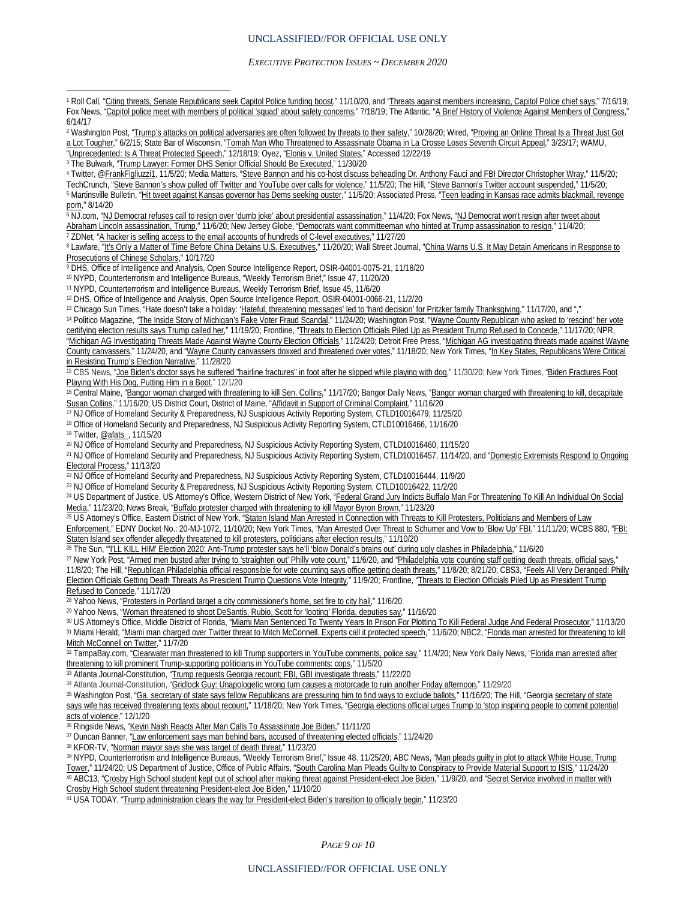<span id="page-8-0"></span><sup>1</sup> Roll Call, ["Citing threats, Senate Republicans seek Capitol Police funding boost,"](https://www.rollcall.com/2020/11/10/citing-threats-senate-republicans-seek-capitol-police-funding-boost/) 11/10/20, and ["Threats against members increasing, Capitol Police chief says,"](https://www.rollcall.com/2019/07/16/threats-against-members-increasing-capitol-police-chief-says/) 7/16/19; Fox News, ["Capitol police meet with members of political 'squad' about safety concerns,](https://www.foxnews.com/politics/capitol-police-meet-with-members-of-political-squad-about-safety-concerns)" 7/18/19; The Atlantic, ["A Brief History of Violence Against Members of Congress,"](https://www.theatlantic.com/politics/archive/2017/06/a-brief-history-of-violence-against-members-of-congress/530271/) 6/14/17  $\overline{a}$ 

<span id="page-8-1"></span><sup>2</sup> Washington Post, ["Trump's attacks on political adversaries are often followed by threats to their safety,"](https://www.washingtonpost.com/national-security/threats-follow-trump-poliical-attacks/2020/10/28/c6dbce02-1792-11eb-82db-60b15c874105_story.html) 10/28/20; Wired, ["Proving an Online Threat Is a Threat](https://www.wired.com/2015/06/scotus-threat-ruling/) Just Got [a Lot Tougher,"](https://www.wired.com/2015/06/scotus-threat-ruling/) 6/2/15; State Bar of Wisconsin, ["Tomah Man Who Threatened to Assassinate Obama in La Crosse Loses Seventh Circuit Appeal,"](http://www.wisbar.org/NewsPublications/Pages/General-Article.aspx?ArticleID=25493) 3/23/17; WAMU, ["Unprecedented: Is A Threat Protected Speech,"](https://wamu.org/story/19/12/18/unprecedented-is-a-threat-protected-speech/) 12/18/19; Oyez, ["Elonis v. United States,"](https://www.oyez.org/cases/2014/13-983) Accessed 12/22/19

<sup>3</sup> The Bulwark, ["Trump Lawyer: Former DHS Senior Official Should Be Executed,](https://thebulwark.com/trump-lawyer-dhs-whistleblower-should-be-executed/)" 11/30/20

<span id="page-8-3"></span><span id="page-8-2"></span>4 Twitter, [@FrankFigliuzzi1,](https://twitter.com/FrankFigliuzzi1/status/1324485819042705408) 11/5/20; Media Matters, ["Steve Bannon and his co-host discuss beheading Dr. Anthony](https://www.mediamatters.org/steve-bannon/steve-bannon-and-his-co-host-discuss-beheading-dr-anthony-fauci-and-fbi-director) Fauci and FBI Director Christopher Wray," 11/5/20;<br>TechCrunch, "Steve Bannon's show pulled off Twitter and Yo <sup>5</sup> Martinsville Bulletin, ["Hit tweet against Kansas governor has Dems seeking ouster,"](https://martinsvillebulletin.com/news/national/govt-and-politics/hit-tweet-against-kansas-governor-has-dems-seeking-ouster/article_467a0f9c-3067-5544-8c45-60437c42e3cb.html) 11/5/20; Associated Press, "Teen leading in Kansas race admits blackmail, revenge [porn,"](https://apnews.com/article/ac948dae17c3dbc36ffe62246925c4f3) 8/14/20

<span id="page-8-5"></span><span id="page-8-4"></span><sup>6</sup> NJ.com, ["NJ Democrat refuses call to resign over 'dumb joke' about presidential assassination,"](https://www.nj.com/politics/2020/11/nj-democrat-refuses-call-to-resign-over-dumb-joke-about-presidential-assassination.html) 11/4/20; Fox News, ["NJ Democrat won't resign after tweet](https://www.foxnews.com/us/nj-democrat-resign-joke-presidential-assassination-trump) about Abraham Lincoln assassination, Trump," 11/6/20; New Jersey <u>Abraham Lincoln assassination, Trump</u>," 11/6/20; New Jersey Globe, "<u>Democrats want committeeman who hinted at Trump assassination to resign</u>," 11/4/20;<br><sup>7</sup> ZDNet, "<u>A hacker is selling access to the email accounts of hun</u>

<span id="page-8-7"></span><span id="page-8-6"></span><sup>8</sup> Lawfare, "<u>It's Only a Matter of Time Before China Detains U.S. Executives,</u>" 11/20/20; Wall Street Journal, "<u>China Warns U.S. It May Detain Americans in Response to</u> [Prosecutions of Chinese Scholars,"](https://www.wsj.com/articles/china-warns-u-s-it-may-detain-americans-in-response-to-prosecutions-of-chinese-scholars-11602960959) 10/17/20

<span id="page-8-8"></span><sup>9</sup> DHS, Office of Intelligence and Analysis, Open Source Intelligence Report, OSIR-04001-0075-21, 11/18/20

<sup>10</sup> NYPD, Counterterrorism and Intelligence Bureaus, "Weekly Terrorism Brief," Issue 47, 11/20/20

<span id="page-8-10"></span><span id="page-8-9"></span><sup>11</sup> NYPD, Counterterrorism and Intelligence Bureaus, Weekly Terrorism Brief, Issue 45, 11/6/20

<span id="page-8-11"></span><sup>12</sup> DHS, Office of Intelligence and Analysis, Open Source Intelligence Report, OSIR-04001-0066-21, 11/2/20<br><sup>13</sup> Chicago Sun Times, "Hate doesn't take a holiday: 'Hateful, threatening messages' led to 'hard decision' for P

<span id="page-8-13"></span><span id="page-8-12"></span><sup>13</sup> Chicago Sun Times, "Hate doesn't take a holiday: '<u>Hateful, threatening messages' led to 'hard decision' for Pritzker family Thanksgiving," 11/17/20, and ","<br><sup>14</sup> Politico Magazine, "<u>The Inside Story of Michigan's Fa</u></u> [certifying election results says Trump called her,"](https://www.washingtonpost.com/nation/2020/11/19/wayne-county-rescind-certifying-election/?wpmk=1&wpisrc=al_news__alert-politics--alert-national&utm_source=alert&utm_medium=email&utm_campaign=wp_news_alert_revere&location=alert&pwapi_token=eyJ0eXAiOiJKV1Qi) 11/19/20; Frontline, ["Threats to Election Officials Piled Up as President Trump Refused to Concede,"](https://www.pbs.org/wgbh/frontline/article/threats-to-election-officials-piled-up-as-president-trump-refused-to-concede/) 11/17/20; NPR, ["Michigan AG Investigating Threats Made Against Wayne County Election Officials,"](https://www.npr.org/sections/biden-transition-updates/2020/11/24/938550750/michigan-ag-investigating-threats-made-against-wayne-county-election-officials) 11/24/20; Detroit Free Press, ["Michigan AG investigating threats made against Wayne](https://www.freep.com/story/news/politics/elections/2020/11/24/michigan-attorney-general-nessel-monica-palmer-threats-canvassers/6405963002/)  [County canvassers,"](https://www.freep.com/story/news/politics/elections/2020/11/24/michigan-attorney-general-nessel-monica-palmer-threats-canvassers/6405963002/) 11/24/20, and ["Wayne County canvassers doxxed and threatened over votes,"](https://www.freep.com/story/news/politics/elections/2020/11/19/wayne-county-canvassers-doxxed-threatened/6340324002/) 11/18/20; New York Times, "In Key States, Republicans Were Critical [in Resisting Trump's Election Narrative,"](https://www.nytimes.com/2020/11/28/us/politics/trump-republicans-election-results.html?campaign_id=2&emc=edit_th_20201129&instance_id=24552&nl=todaysheadlines®i_id=21514496&segment_id=45618&user_id=2cacefc544d44e6d2334c9b9e098c160) 11/28/20

<span id="page-8-14"></span><sup>15</sup> CBS News, ["Joe Biden's doctor says he suffered "hairline fractures" in foot after he slipped while playing with dog,](https://www.cbsnews.com/news/joe-biden-fractures-foot-playing-dog/)" 11/30/20; New York Times, "Biden Fractures Foot [Playing With His Dog, Putting Him in a Boot,"](https://www.nytimes.com/2020/11/29/us/politics/biden-foot-boot.html) 12/1/20

<span id="page-8-15"></span><sup>16</sup> Central Maine, ["Bangor woman charged with threatening to kill Sen. Collins,"](https://www.centralmaine.com/2020/11/16/bangor-woman-charged-with-threatening-to-kill-sen-susan-collins/) 11/17/20; Bangor Daily News, "Bangor woman charged with threatening to kill, decapitate [Susan Collins,"](https://bangordailynews.com/2020/11/16/news/bangor/bangor-woman-charged-with-threatening-to-kill-decapitate-susan-collins/) 11/16/20; US District Court, District of Maine, ["Affidavit in Support of Criminal Complaint,"](https://assets.documentcloud.org/documents/20407125/collinsthreats.pdf) 11/16/20

<span id="page-8-16"></span><sup>17</sup> NJ Office of Homeland Security & Preparedness, NJ Suspicious Activity Reporting System, CTLD10016479, 11/25/20

<span id="page-8-17"></span>18 Office of Homeland Security and Preparedness, NJ Suspicious Activity Reporting System, CTLD10016466, 11/16/20

<sup>19</sup> Twitter[, @afats\\_](https://twitter.com/afats_/status/1328107113579765760.), 11/15/20

<span id="page-8-19"></span><span id="page-8-18"></span><sup>20</sup> NJ Office of Homeland Security and Preparedness, NJ Suspicious Activity Reporting System, CTLD10016460, 11/15/20

<span id="page-8-20"></span><sup>21</sup> NJ Office of Homeland Security and Preparedness, NJ Suspicious Activity Reporting System, CTLD10016457, 11/14/20, and ["Domestic Extremists](https://www.njhomelandsecurity.gov/analysis/domestic-extremists-respond-to-ongoing-electoral-process) Respond to Ongoing Electoral Process," 11/13/20

<span id="page-8-21"></span><sup>22</sup> NJ Office of Homeland Security and Preparedness, NJ Suspicious Activity Reporting System, CTLD10016444, 11/9/20

<span id="page-8-22"></span><sup>23</sup> NJ Office of Homeland Security & Preparedness, NJ Suspicious Activity Reporting System, CTLD10016422, 11/2/20

<span id="page-8-23"></span>24 US Department of Justice, US Attorney's Office, Western District of New York, "Federal Grand Jury Indicts Buffalo Man For Threatening To Kill An Individual On Social [Media,"](https://www.justice.gov/usao-wdny/pr/federal-grand-jury-indicts-buffalo-man-threatening-kill-individual-social-media) 11/23/20; News Break, ["Buffalo protester charged with threatening to kill Mayor Byron Brown,"](https://www.newsbreak.com/new-york/buffalo/news/2107800200391/buffalo-protester-charged-with-threatening-to-kill-mayor-byron-brown) 11/23/20

<span id="page-8-24"></span>25 US Attorney's Office, Eastern District of New York, "Staten Island Man Arrested in Connection with Threats to Kill Protesters, Politicians and Members of Law

[Enforcement,"](https://www.justice.gov/usao-edny/pr/staten-island-man-arrested-connection-threats-kill-protesters-politicians-and-members) EDNY Docket No.: 20-MJ-1072, 11/10/20; New York Times, "Man Arrested Over Threat to Schumer and Vow to 'Blow Up' FBI;" 11/11/20; WCBS 880, "FBI: [Staten Island sex offender allegedly threatened to kill protesters, politicians after election results,"](https://www.radio.com/wcbs880/news/local/fbi-man-allegedly-threatened-to-kill-people-over-election) 11/10/20

<span id="page-8-25"></span><sup>26</sup> The Sun, "I'LL KILL HIM' Election 2020: Anti-Trump protester says he'll 'blow Donald's brains out' during ugly clashes in Philadelphia," 11/6/20

<span id="page-8-26"></span><sup>27</sup> New York Post, ["Armed men busted after trying to 'straighten out' Philly vote count,"](https://nypost.com/2020/11/06/armed-men-arrested-after-trying-to-straighten-out-philly-vote/) 11/6/20, and ["Philadelphia vote counting staff getting death threats, official says,"](https://nypost.com/2020/11/08/philadelphia-vote-counting-staff-getting-death-threats-official-says/) 11/8/20; The Hill, ["Republican Philadelphia official responsible for vote counting says office getting death threats,"](https://thehill.com/homenews/525075-republican-philadelphia-official-responsible-for-vote-counting-says-office-getting) 11/8/20; 8/21/20; CBS3, ["Feels All Very Deranged: Philly](https://philadelphia.cbslocal.com/2020/11/09/feels-all-very-deranged-philly-election-officials-getting-death-threats-as-president-trump-questions-vote-integrity/) 

[Election Officials Getting Death Threats As President Trump Questions Vote Integrity,"](https://philadelphia.cbslocal.com/2020/11/09/feels-all-very-deranged-philly-election-officials-getting-death-threats-as-president-trump-questions-vote-integrity/) 11/9/20; Frontline, ["Threats to Election Officials Piled Up as President Trump](https://www.pbs.org/wgbh/frontline/article/threats-to-election-officials-piled-up-as-president-trump-refused-to-concede/)  [Refused to Concede,"](https://www.pbs.org/wgbh/frontline/article/threats-to-election-officials-piled-up-as-president-trump-refused-to-concede/) 11/17/20

28 Yahoo News, ["Protesters in Portland target a city commissioner's home, set fire to city hall,"](https://www.yahoo.com/gma/protesters-portland-target-city-commissioners-111319678.html) 11/6/20

<span id="page-8-28"></span><span id="page-8-27"></span><sup>29</sup> Yahoo News, ["Woman threatened to shoot DeSantis, Rubio, Scott for 'looting' Florida, deputies say,"](https://news.yahoo.com/woman-threatened-shoot-desantis-rubio-202859033.html) 11/16/20

<span id="page-8-30"></span><span id="page-8-29"></span>30 US Attorney's Office, Middle District of Florida, ["Miami Man Sentenced To Twenty Years In Prison For Plotting To Kill Federal Judge And Federal Prosecutor,"](https://www.justice.gov/usao-mdfl/pr/miami-man-sentenced-twenty-years-prison-plotting-kill-federal-judge-and-federal) 11/13/20 31 Miami Herald, ["Miami man charged over Twitter threat to Mitch McConnell. Experts call it protected speech,](https://www.miamiherald.com/news/local/crime/article247017617.html)" 11/6/20; NBC2, "Florida man arrested for threatening to kill [Mitch McConnell on Twitter,"](https://nbc-2.com/news/crime/2020/11/06/florida-man-arrested-for-threatening-to-kill-mitch-mcconnell-on-twitter/) 11/7/20

<span id="page-8-31"></span>32 TampaBay.com, ["Clearwater man threatened to kill Trump supporters in YouTube comments, police say,"](https://www.tampabay.com/news/breaking-news/2020/11/04/clearwater-man-threatened-to-kill-trump-supporters-in-youtube-comments-police-say/) 11/4/20; New York Daily News, "Florida man arrested after [threatening to kill prominent Trump-supporting politicians in YouTube comments: cops,"](https://www.nydailynews.com/news/politics/us-elections-government/ny-florida-richard-szala-youtube-threat-kill-trump-rubio-desantis-20201105-snzxqfllrrau7jx5rcqbd2uinm-story.html) 11/5/20

<span id="page-8-32"></span>33 Atlanta Journal-Constitution, ["Trump requests Georgia recount; FBI, GBI investigate threats,"](https://www.ajc.com/politics/election/trump-formally-requests-recount-in-georgia/TXCURGSK7ZE4PJYPQNR4NEI7QY/) 11/22/20

<span id="page-8-33"></span>34 Atlanta Journal-Constitution, ["Gridlock Guy: Unapologetic wrong turn causes a motorcade to ruin another Friday afternoon,"](https://www.ajc.com/atlanta-traffic/gridlock-guy-unapologetic-wrong-turn-causes-a-motorcade-to-ruin-another-friday-afternoon/H3UWFIWIWVCMDANAKJ4XQ5ZWU4/) 11/29/20

<span id="page-8-34"></span><sup>35</sup> Washington Post, ["Ga. secretary of state says fellow Republicans are pressuring him to find ways to exclude ballots,](https://www.washingtonpost.com/politics/brad-raffensperger-georgia-vote/2020/11/16/6b6cb2f4-283e-11eb-8fa2-06e7cbb145c0_story.html)" 11/16/20; The Hill, "Georgia secretary of state [says wife has received threatening texts about recount,"](https://thehill.com/homenews/campaign/526573-georgia-secretary-of-state-says-wife-has-received-threatening-texts-about?utm_source=thehill&utm_medium=widgets&utm_campaign=es_recommended_content) 11/18/20; New York Times, "Georgia elections official urges Trump to 'stop inspiring people to commit potential [acts of violence,"](https://www.nytimes.com/live/2020/12/01/us/joe-biden-trump/georgia-elections-official-urges-trump-to-stop-inspiring-people-to-commit-potential-acts-of-violence) 12/1/20

<sup>36</sup> Ringside News, ["Kevin Nash Reacts After Man Calls To Assassinate Joe Biden,"](https://www.ringsidenews.com/2020/11/11/kevin-nash-reacts-after-man-calls-to-assassinate-joe-biden/) 11/11/20

<span id="page-8-36"></span><span id="page-8-35"></span><sup>37</sup> Duncan Banner, ["Law enforcement says man behind bars, accused of threatening elected officials,"](https://www.duncanbanner.com/community/law-enforcement-says-man-behind-bars-accused-of-threatening-elected-officials/article_e6746b8e-2eb2-11eb-b7a9-af4e3876983f.html) 11/24/20

<span id="page-8-37"></span>38 KFOR-TV, ["Norman mayor says she was target of death threat,"](https://kfor.com/news/local/norman-mayor-says-she-was-target-of-death-threat/) 11/23/20

<span id="page-8-39"></span><span id="page-8-38"></span><sup>39</sup> NYPD, Counterterrorism and Intelligence Bureaus, "Weekly Terrorism Brief," Issue 48. 11/25/20; ABC News, ["Man pleads guilty in plot to attack White House, Trump](https://abcnews.go.com/US/wireStory/man-pleads-guilty-plot-attack-white-house-trump-74389086)  [Tower,"](https://abcnews.go.com/US/wireStory/man-pleads-guilty-plot-attack-white-house-trump-74389086) 11/24/20; US Department of Justice, Office of Public Affairs, ["South Carolina Man Pleads Guilty to Conspiracy to](https://www.justice.gov/opa/pr/south-carolina-man-pleads-guilty-conspiracy-provide-material-support-isis) Provide Material Support to ISIS," 11/24/20 40 ABC13, ["Crosby High School student kept out of school after making threat against President-elect Joe Biden,](https://abc13.com/crosby-high-school-student-threat-to-assassinate-president-elect-joe-biden-gun-suspended-for-threatening/7804918/)" 11/9/20, and "Secret Service involved in matter with [Crosby High School student threatening President-elect Joe Biden,](https://abc13.com/crosby-high-school-student-threat-against-president-elect-joe-biden-secret-service-investigation-online-social-media-video/7842108/)" 11/10/20

<span id="page-8-40"></span>41 USA TODAY, ["Trump administration clears the way for President-elect Biden's transition to officially begin,"](https://www.usatoday.com/story/news/politics/elections/2020/11/23/gsa-emily-murphy-clears-way-joe-bidens-transition-begin/6226527002/) 11/23/20

*PAGE 9 OF 10*